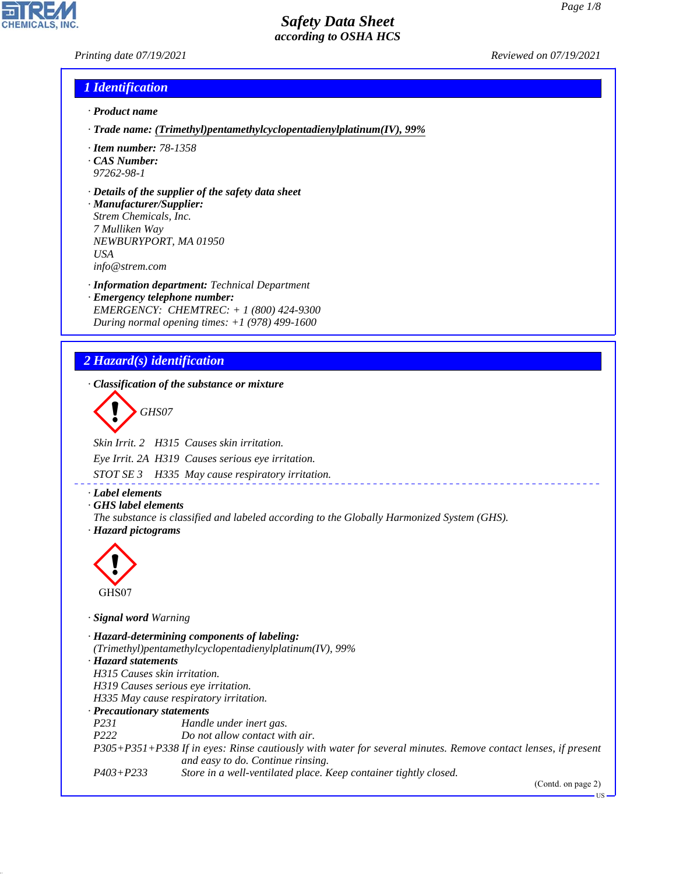*Printing date 07/19/2021 Reviewed on 07/19/2021*

### *1 Identification*

- *· Product name*
- *· Trade name: (Trimethyl)pentamethylcyclopentadienylplatinum(IV), 99%*
- *· Item number: 78-1358*
- *· CAS Number: 97262-98-1*
- *· Details of the supplier of the safety data sheet*
- *· Manufacturer/Supplier: Strem Chemicals, Inc. 7 Mulliken Way NEWBURYPORT, MA 01950 USA info@strem.com*
- *· Information department: Technical Department · Emergency telephone number: EMERGENCY: CHEMTREC: + 1 (800) 424-9300 During normal opening times: +1 (978) 499-1600*

## *2 Hazard(s) identification*

*· Classification of the substance or mixture*

d~*GHS07*

*Skin Irrit. 2 H315 Causes skin irritation.*

*Eye Irrit. 2A H319 Causes serious eye irritation.*

*STOT SE 3 H335 May cause respiratory irritation.*

- *· Label elements*
- *· GHS label elements*
- *The substance is classified and labeled according to the Globally Harmonized System (GHS). · Hazard pictograms*



44.1.1

*· Signal word Warning*

*· Hazard-determining components of labeling: (Trimethyl)pentamethylcyclopentadienylplatinum(IV), 99% · Hazard statements H315 Causes skin irritation. H319 Causes serious eye irritation. H335 May cause respiratory irritation. · Precautionary statements P231 Handle under inert gas. P222 Do not allow contact with air. P305+P351+P338 If in eyes: Rinse cautiously with water for several minutes. Remove contact lenses, if present and easy to do. Continue rinsing. P403+P233 Store in a well-ventilated place. Keep container tightly closed.*

(Contd. on page 2)

US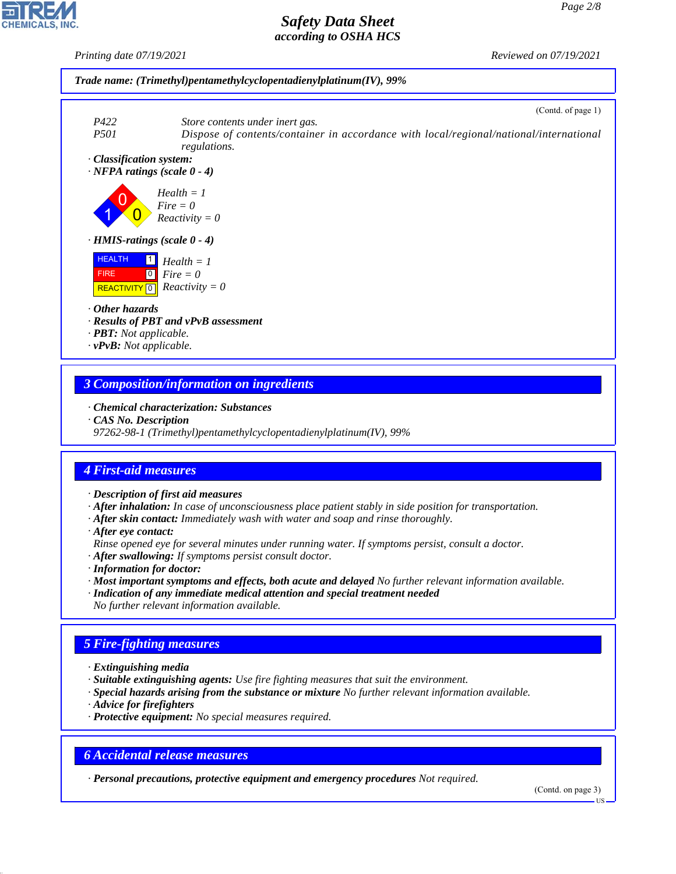*Printing date 07/19/2021 Reviewed on 07/19/2021*





*· Classification system:*



*· HMIS-ratings (scale 0 - 4)*



*· Other hazards*

- *· Results of PBT and vPvB assessment*
- *· PBT: Not applicable.*
- *· vPvB: Not applicable.*

### *3 Composition/information on ingredients*

- *· Chemical characterization: Substances*
- *· CAS No. Description*
- *97262-98-1 (Trimethyl)pentamethylcyclopentadienylplatinum(IV), 99%*

## *4 First-aid measures*

- *· Description of first aid measures*
- *· After inhalation: In case of unconsciousness place patient stably in side position for transportation.*
- *· After skin contact: Immediately wash with water and soap and rinse thoroughly.*
- *· After eye contact:*
- *Rinse opened eye for several minutes under running water. If symptoms persist, consult a doctor.*

*· After swallowing: If symptoms persist consult doctor.*

- *· Information for doctor:*
- *· Most important symptoms and effects, both acute and delayed No further relevant information available.*
- *· Indication of any immediate medical attention and special treatment needed*
- *No further relevant information available.*

## *5 Fire-fighting measures*

- *· Extinguishing media*
- *· Suitable extinguishing agents: Use fire fighting measures that suit the environment.*
- *· Special hazards arising from the substance or mixture No further relevant information available.*
- *· Advice for firefighters*

44.1.1

*· Protective equipment: No special measures required.*

## *6 Accidental release measures*

*· Personal precautions, protective equipment and emergency procedures Not required.*

(Contd. on page 3)

US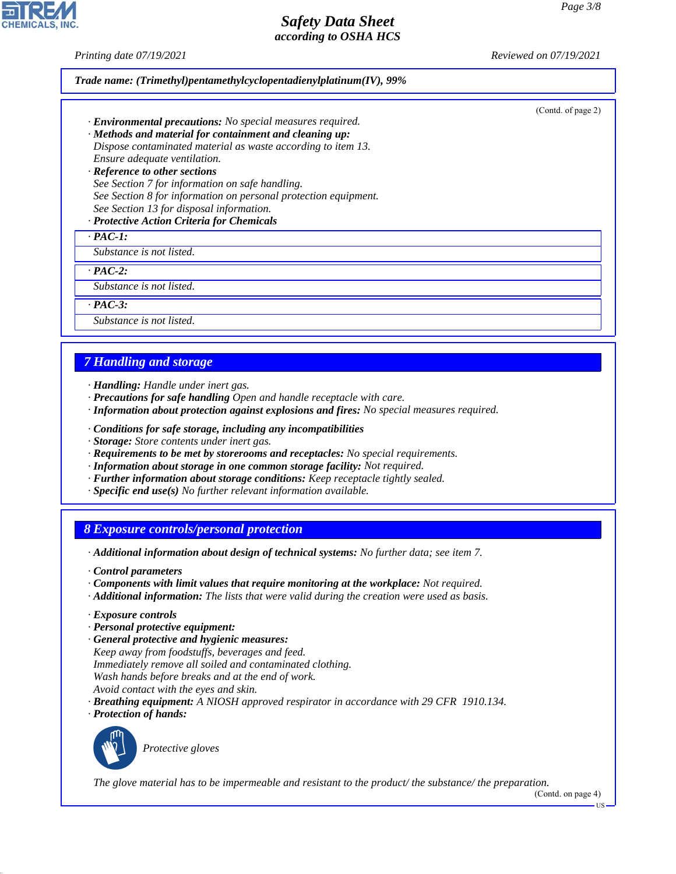*Printing date 07/19/2021 Reviewed on 07/19/2021*

**EDIREAL** 

44.1.1

|                                                                                                                                                                                                                                                                                                                                                                                                                        | (Contd. of page 2) |
|------------------------------------------------------------------------------------------------------------------------------------------------------------------------------------------------------------------------------------------------------------------------------------------------------------------------------------------------------------------------------------------------------------------------|--------------------|
| · Environmental precautions: No special measures required.                                                                                                                                                                                                                                                                                                                                                             |                    |
| · Methods and material for containment and cleaning up:                                                                                                                                                                                                                                                                                                                                                                |                    |
| Dispose contaminated material as waste according to item 13.<br>Ensure adequate ventilation.                                                                                                                                                                                                                                                                                                                           |                    |
| · Reference to other sections                                                                                                                                                                                                                                                                                                                                                                                          |                    |
| See Section 7 for information on safe handling.                                                                                                                                                                                                                                                                                                                                                                        |                    |
| See Section 8 for information on personal protection equipment.                                                                                                                                                                                                                                                                                                                                                        |                    |
| See Section 13 for disposal information.<br>· Protective Action Criteria for Chemicals                                                                                                                                                                                                                                                                                                                                 |                    |
| $\cdot$ PAC-1:                                                                                                                                                                                                                                                                                                                                                                                                         |                    |
| Substance is not listed.                                                                                                                                                                                                                                                                                                                                                                                               |                    |
| $\cdot$ PAC-2:                                                                                                                                                                                                                                                                                                                                                                                                         |                    |
| Substance is not listed.                                                                                                                                                                                                                                                                                                                                                                                               |                    |
| $\cdot$ PAC-3:                                                                                                                                                                                                                                                                                                                                                                                                         |                    |
| Substance is not listed.                                                                                                                                                                                                                                                                                                                                                                                               |                    |
|                                                                                                                                                                                                                                                                                                                                                                                                                        |                    |
|                                                                                                                                                                                                                                                                                                                                                                                                                        |                    |
| <b>7 Handling and storage</b>                                                                                                                                                                                                                                                                                                                                                                                          |                    |
|                                                                                                                                                                                                                                                                                                                                                                                                                        |                    |
| · Handling: Handle under inert gas.<br>· Precautions for safe handling Open and handle receptacle with care.                                                                                                                                                                                                                                                                                                           |                    |
| · Information about protection against explosions and fires: No special measures required.                                                                                                                                                                                                                                                                                                                             |                    |
| · Conditions for safe storage, including any incompatibilities                                                                                                                                                                                                                                                                                                                                                         |                    |
| · Storage: Store contents under inert gas.                                                                                                                                                                                                                                                                                                                                                                             |                    |
| · Requirements to be met by storerooms and receptacles: No special requirements.                                                                                                                                                                                                                                                                                                                                       |                    |
| · Information about storage in one common storage facility: Not required.                                                                                                                                                                                                                                                                                                                                              |                    |
| · Further information about storage conditions: Keep receptacle tightly sealed.                                                                                                                                                                                                                                                                                                                                        |                    |
| $\cdot$ Specific end use(s) No further relevant information available.                                                                                                                                                                                                                                                                                                                                                 |                    |
|                                                                                                                                                                                                                                                                                                                                                                                                                        |                    |
|                                                                                                                                                                                                                                                                                                                                                                                                                        |                    |
|                                                                                                                                                                                                                                                                                                                                                                                                                        |                    |
|                                                                                                                                                                                                                                                                                                                                                                                                                        |                    |
|                                                                                                                                                                                                                                                                                                                                                                                                                        |                    |
|                                                                                                                                                                                                                                                                                                                                                                                                                        |                    |
|                                                                                                                                                                                                                                                                                                                                                                                                                        |                    |
|                                                                                                                                                                                                                                                                                                                                                                                                                        |                    |
| <b>8 Exposure controls/personal protection</b><br>· Additional information about design of technical systems: No further data; see item 7.<br>Control parameters<br>Components with limit values that require monitoring at the workplace: Not required.<br>Additional information: The lists that were valid during the creation were used as basis.<br>$\cdot$ Exposure controls<br>· Personal protective equipment: |                    |
| · General protective and hygienic measures:                                                                                                                                                                                                                                                                                                                                                                            |                    |
| Keep away from foodstuffs, beverages and feed.                                                                                                                                                                                                                                                                                                                                                                         |                    |
| Immediately remove all soiled and contaminated clothing.                                                                                                                                                                                                                                                                                                                                                               |                    |
| Wash hands before breaks and at the end of work.<br>Avoid contact with the eyes and skin.                                                                                                                                                                                                                                                                                                                              |                    |
| · Breathing equipment: A NIOSH approved respirator in accordance with 29 CFR 1910.134.                                                                                                                                                                                                                                                                                                                                 |                    |
| · Protection of hands:                                                                                                                                                                                                                                                                                                                                                                                                 |                    |
|                                                                                                                                                                                                                                                                                                                                                                                                                        |                    |
| Protective gloves                                                                                                                                                                                                                                                                                                                                                                                                      |                    |
|                                                                                                                                                                                                                                                                                                                                                                                                                        |                    |
| The glove material has to be impermeable and resistant to the product/the substance/the preparation.                                                                                                                                                                                                                                                                                                                   |                    |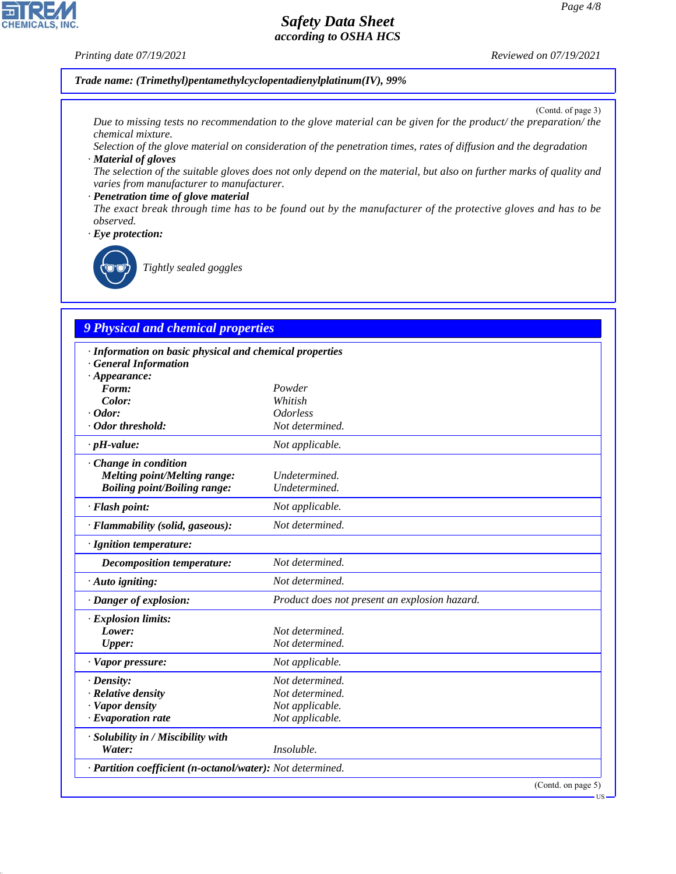#### *Printing date 07/19/2021 Reviewed on 07/19/2021*

**CHEMICALS, INC.** 

*Trade name: (Trimethyl)pentamethylcyclopentadienylplatinum(IV), 99%*

(Contd. of page 3)

US

*Due to missing tests no recommendation to the glove material can be given for the product/ the preparation/ the chemical mixture.*

*Selection of the glove material on consideration of the penetration times, rates of diffusion and the degradation · Material of gloves*

*The selection of the suitable gloves does not only depend on the material, but also on further marks of quality and varies from manufacturer to manufacturer.*

#### *· Penetration time of glove material*

*The exact break through time has to be found out by the manufacturer of the protective gloves and has to be observed.*

*· Eye protection:*



44.1.1

\_R*Tightly sealed goggles*

# *9 Physical and chemical properties*

| · Information on basic physical and chemical properties    |                                               |
|------------------------------------------------------------|-----------------------------------------------|
| <b>General Information</b>                                 |                                               |
| $\cdot$ Appearance:                                        |                                               |
| Form:                                                      | Powder                                        |
| Color:                                                     | Whitish                                       |
| $\cdot$ Odor:                                              | <i><u><b>Odorless</b></u></i>                 |
| Odor threshold:                                            | Not determined.                               |
| $\cdot$ pH-value:                                          | Not applicable.                               |
| · Change in condition                                      |                                               |
| <b>Melting point/Melting range:</b>                        | Undetermined.                                 |
| <b>Boiling point/Boiling range:</b>                        | Undetermined.                                 |
| · Flash point:                                             | Not applicable.                               |
| · Flammability (solid, gaseous):                           | Not determined.                               |
| · Ignition temperature:                                    |                                               |
| Decomposition temperature:                                 | Not determined.                               |
| · Auto igniting:                                           | Not determined.                               |
| · Danger of explosion:                                     | Product does not present an explosion hazard. |
| · Explosion limits:                                        |                                               |
| Lower:                                                     | Not determined.                               |
| Upper:                                                     | Not determined.                               |
| · Vapor pressure:                                          | Not applicable.                               |
| $\cdot$ Density:                                           | Not determined.                               |
| · Relative density                                         | Not determined.                               |
| · Vapor density                                            | Not applicable.                               |
| $\cdot$ Evaporation rate                                   | Not applicable.                               |
| · Solubility in / Miscibility with                         |                                               |
| Water:                                                     | Insoluble.                                    |
| · Partition coefficient (n-octanol/water): Not determined. |                                               |
|                                                            | (Contd. on page 5)                            |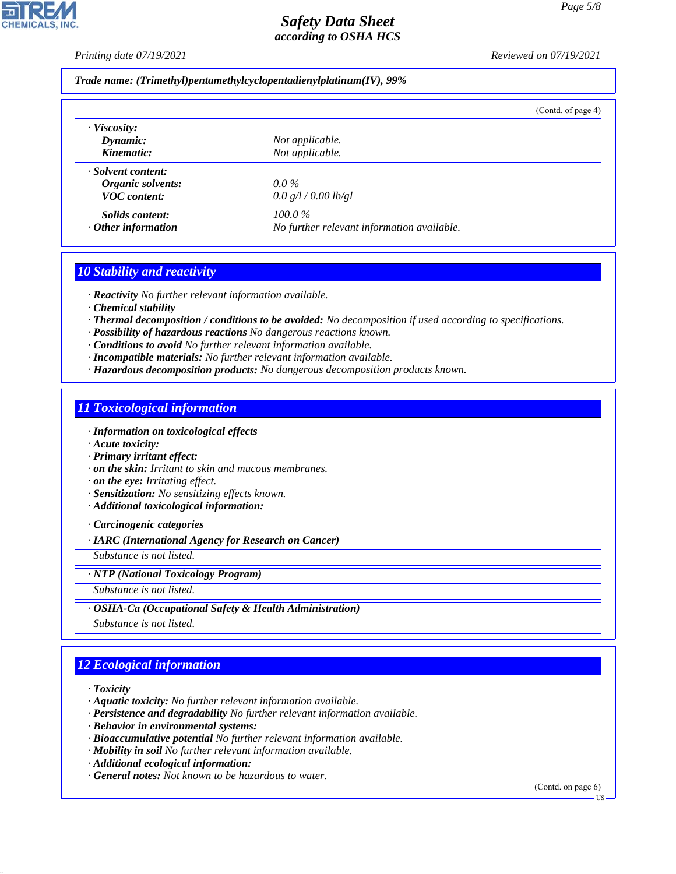*Printing date 07/19/2021 Reviewed on 07/19/2021*

#### *Trade name: (Trimethyl)pentamethylcyclopentadienylplatinum(IV), 99%*

|                           |                                            | (Contd. of page 4) |
|---------------------------|--------------------------------------------|--------------------|
| $\cdot$ Viscosity:        |                                            |                    |
| $D$ <i>ynamic</i> :       | Not applicable.                            |                    |
| Kinematic:                | Not applicable.                            |                    |
| · Solvent content:        |                                            |                    |
| Organic solvents:         | $0.0\%$                                    |                    |
| <b>VOC</b> content:       | 0.0 g/l / 0.00 lb/gl                       |                    |
| <i>Solids content:</i>    | $100.0\%$                                  |                    |
| $\cdot$ Other information | No further relevant information available. |                    |

### *10 Stability and reactivity*

*· Reactivity No further relevant information available.*

*· Chemical stability*

- *· Thermal decomposition / conditions to be avoided: No decomposition if used according to specifications.*
- *· Possibility of hazardous reactions No dangerous reactions known.*

*· Conditions to avoid No further relevant information available.*

- *· Incompatible materials: No further relevant information available.*
- *· Hazardous decomposition products: No dangerous decomposition products known.*

### *11 Toxicological information*

*· Information on toxicological effects*

- *· Acute toxicity:*
- *· Primary irritant effect:*
- *· on the skin: Irritant to skin and mucous membranes.*

*· on the eye: Irritating effect.*

- *· Sensitization: No sensitizing effects known.*
- *· Additional toxicological information:*

*· Carcinogenic categories*

*· IARC (International Agency for Research on Cancer)*

*Substance is not listed.*

#### *· NTP (National Toxicology Program)*

*Substance is not listed.*

*· OSHA-Ca (Occupational Safety & Health Administration)*

*Substance is not listed.*

## *12 Ecological information*

*· Toxicity*

44.1.1

*· Aquatic toxicity: No further relevant information available.*

- *· Persistence and degradability No further relevant information available.*
- *· Behavior in environmental systems:*
- *· Bioaccumulative potential No further relevant information available.*
- *· Mobility in soil No further relevant information available.*
- *· Additional ecological information:*
- *· General notes: Not known to be hazardous to water.*

(Contd. on page 6)

US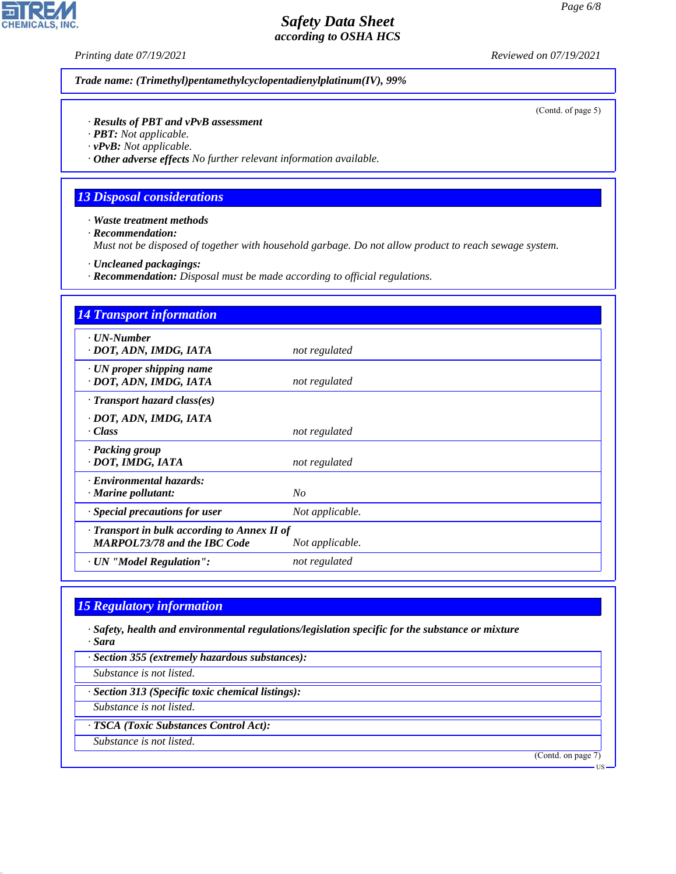**CHEMICALS, INC.** 

*Printing date 07/19/2021 Reviewed on 07/19/2021*

*Trade name: (Trimethyl)pentamethylcyclopentadienylplatinum(IV), 99%*

(Contd. of page 5)

#### *· Results of PBT and vPvB assessment*

*· PBT: Not applicable.*

*· vPvB: Not applicable.*

*· Other adverse effects No further relevant information available.*

### *13 Disposal considerations*

*· Waste treatment methods*

*· Recommendation:*

*Must not be disposed of together with household garbage. Do not allow product to reach sewage system.*

*· Uncleaned packagings:*

*· Recommendation: Disposal must be made according to official regulations.*

| <b>14 Transport information</b>                                                           |                 |
|-------------------------------------------------------------------------------------------|-----------------|
| $\cdot$ UN-Number<br>· DOT, ADN, IMDG, IATA                                               | not regulated   |
| $\cdot$ UN proper shipping name<br>· DOT, ADN, IMDG, IATA                                 | not regulated   |
| $\cdot$ Transport hazard class(es)                                                        |                 |
| · DOT, ADN, IMDG, IATA<br>· Class                                                         | not regulated   |
| · Packing group<br>· DOT, IMDG, IATA                                                      | not regulated   |
| · Environmental hazards:<br>· Marine pollutant:                                           | $N_{O}$         |
| · Special precautions for user                                                            | Not applicable. |
| $\cdot$ Transport in bulk according to Annex II of<br><b>MARPOL73/78 and the IBC Code</b> | Not applicable. |
| · UN "Model Regulation":                                                                  | not regulated   |

## *15 Regulatory information*

*· Safety, health and environmental regulations/legislation specific for the substance or mixture · Sara*

*· Section 355 (extremely hazardous substances):*

*Substance is not listed.*

*· Section 313 (Specific toxic chemical listings):*

*Substance is not listed.*

*· TSCA (Toxic Substances Control Act):*

*Substance is not listed.*

44.1.1

(Contd. on page 7)

US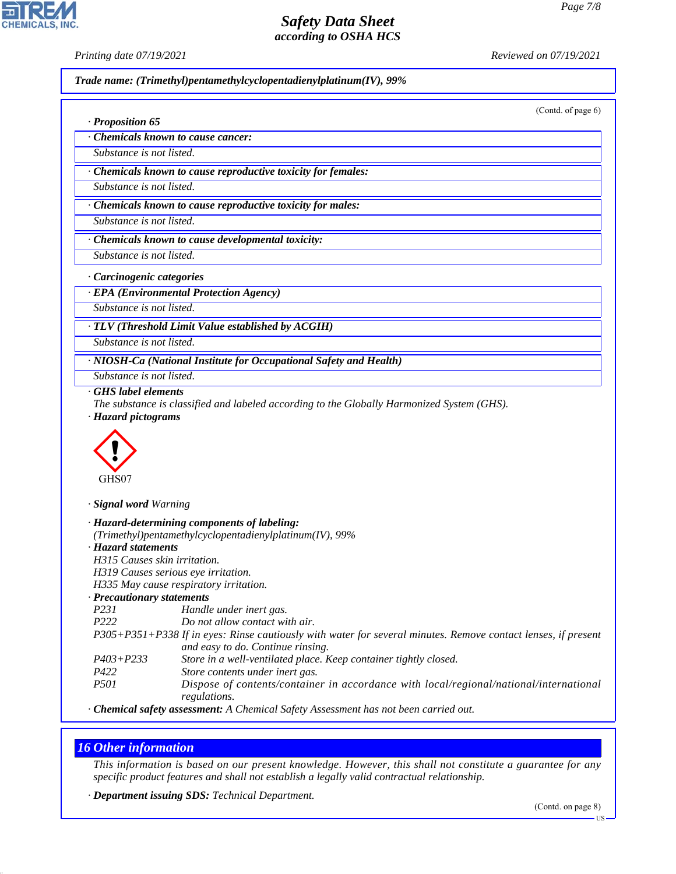**CHEMICALS, INC** 

*· Proposition 65*

*Printing date 07/19/2021 Reviewed on 07/19/2021*

*Trade name: (Trimethyl)pentamethylcyclopentadienylplatinum(IV), 99%*

(Contd. of page 6)

*· Chemicals known to cause cancer:*

*Substance is not listed.*

*· Chemicals known to cause reproductive toxicity for females:*

*Substance is not listed.*

*· Chemicals known to cause reproductive toxicity for males:*

*Substance is not listed.*

*· Chemicals known to cause developmental toxicity:*

*Substance is not listed.*

*· Carcinogenic categories*

*· EPA (Environmental Protection Agency)*

*Substance is not listed.*

*· TLV (Threshold Limit Value established by ACGIH)*

*Substance is not listed.*

*· NIOSH-Ca (National Institute for Occupational Safety and Health)*

*Substance is not listed.*

*· GHS label elements*

*The substance is classified and labeled according to the Globally Harmonized System (GHS). · Hazard pictograms*



*· Signal word Warning*

|                                     | · Hazard-determining components of labeling:                                                                                                                                                                                                                                                                      |
|-------------------------------------|-------------------------------------------------------------------------------------------------------------------------------------------------------------------------------------------------------------------------------------------------------------------------------------------------------------------|
|                                     | (Trimethyl)pentamethylcyclopentadienylplatinum(IV), 99%                                                                                                                                                                                                                                                           |
| · Hazard statements                 |                                                                                                                                                                                                                                                                                                                   |
| H315 Causes skin irritation.        |                                                                                                                                                                                                                                                                                                                   |
| H319 Causes serious eye irritation. |                                                                                                                                                                                                                                                                                                                   |
|                                     | H335 May cause respiratory irritation.                                                                                                                                                                                                                                                                            |
| · Precautionary statements          |                                                                                                                                                                                                                                                                                                                   |
| P231                                | Handle under inert gas.                                                                                                                                                                                                                                                                                           |
| P <sub>222</sub>                    | Do not allow contact with air.                                                                                                                                                                                                                                                                                    |
|                                     | P305+P351+P338 If in eyes: Rinse cautiously with water for several minutes. Remove contact lenses, if present                                                                                                                                                                                                     |
|                                     | and easy to do. Continue rinsing.                                                                                                                                                                                                                                                                                 |
| $P403 + P233$                       | Store in a well-ventilated place. Keep container tightly closed.                                                                                                                                                                                                                                                  |
| P422                                | Store contents under inert gas.                                                                                                                                                                                                                                                                                   |
| <i>P501</i>                         | Dispose of contents/container in accordance with local/regional/national/international<br>regulations.                                                                                                                                                                                                            |
|                                     | $\mathcal{A}$ and $\mathcal{A}$ and $\mathcal{A}$ and $\mathcal{A}$ and $\mathcal{A}$ and $\mathcal{A}$ and $\mathcal{A}$ and $\mathcal{A}$ and $\mathcal{A}$ and $\mathcal{A}$ and $\mathcal{A}$ and $\mathcal{A}$ and $\mathcal{A}$ and $\mathcal{A}$ and $\mathcal{A}$ and $\mathcal{A}$ and $\mathcal{A}$ and |

*· Chemical safety assessment: A Chemical Safety Assessment has not been carried out.*

## *16 Other information*

44.1.1

*This information is based on our present knowledge. However, this shall not constitute a guarantee for any specific product features and shall not establish a legally valid contractual relationship.*

*· Department issuing SDS: Technical Department.*

US